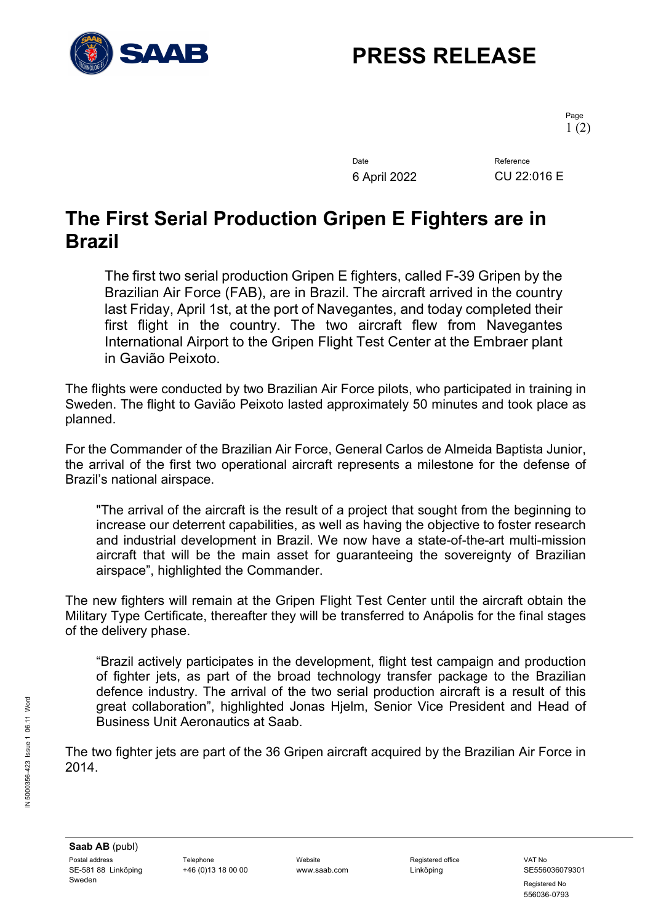

# **PRESS RELEASE**

Page 1 (2)

Date Reference 6 April 2022 CU 22:016 E

### **The First Serial Production Gripen E Fighters are in Brazil**

The first two serial production Gripen E fighters, called F-39 Gripen by the Brazilian Air Force (FAB), are in Brazil. The aircraft arrived in the country last Friday, April 1st, at the port of Navegantes, and today completed their first flight in the country. The two aircraft flew from Navegantes International Airport to the Gripen Flight Test Center at the Embraer plant in Gavião Peixoto.

The flights were conducted by two Brazilian Air Force pilots, who participated in training in Sweden. The flight to Gavião Peixoto lasted approximately 50 minutes and took place as planned.

For the Commander of the Brazilian Air Force, General Carlos de Almeida Baptista Junior, the arrival of the first two operational aircraft represents a milestone for the defense of Brazil's national airspace.

"The arrival of the aircraft is the result of a project that sought from the beginning to increase our deterrent capabilities, as well as having the objective to foster research and industrial development in Brazil. We now have a state-of-the-art multi-mission aircraft that will be the main asset for guaranteeing the sovereignty of Brazilian airspace", highlighted the Commander.

The new fighters will remain at the Gripen Flight Test Center until the aircraft obtain the Military Type Certificate, thereafter they will be transferred to Anápolis for the final stages of the delivery phase.

"Brazil actively participates in the development, flight test campaign and production of fighter jets, as part of the broad technology transfer package to the Brazilian defence industry. The arrival of the two serial production aircraft is a result of this great collaboration", highlighted Jonas Hjelm, Senior Vice President and Head of Business Unit Aeronautics at Saab.

The two fighter jets are part of the 36 Gripen aircraft acquired by the Brazilian Air Force in 2014.

Registered No 556036-0793